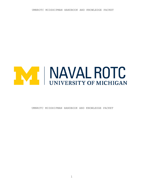

UMNROTC MIDSHIPMAN HANDBOOK AND KNOWLEDGE PACKET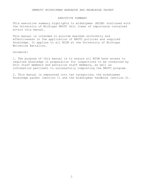## EXECUTIVE SUMMARY

This executive summary highlights to midshipmen (MIDN) stationed with the University of Michigan NROTC Unit items of importance contained within this manual.

This manual is intended to provide maximum uniformity and effectiveness in the application of NROTC policies and required knowledge. It applies to all MIDN at the University of Michigan Wolverine Battalion.

Guidance:

1. The purpose of this manual is to ensure all MIDN have access to required knowledge in preparation for inspections to be conducted by Unit staff members and battalion staff members, as well as information pertinent to successfully completing the NROTC program.

2. This manual is separated into two categories; the midshipman knowledge packet (section 1) and the midshipman handbook (section 2).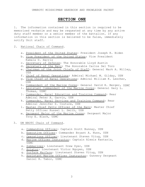# **SECTION ONE**

1. The information contained in this section is required to be memorized verbatim and may be requested at any time by any active duty staff member or a senior member of the battalion. If any information in this section is believed to be false, immediately notify Unit staff.

- 2. National Chain of Command.
	- a. President of the United States: President Joseph R. Biden
	- b. Vice President of the United States: Vice President Kamala D. Harris
	- c. Secretary of Defense: The Honorable Lloyd Austin
	- d. Secretary of the Navy: The Honorable Carlos Del Toro
	- e. Chairman of the Joint Chiefs of Staff: General Mark A. Milley, USA
	- f. Chief of Naval Operations: Admiral Michael M. Gilday, USN
	- g. Vice Chief of Naval Operations: Admiral William K. Lescher, USN
	- h. Commandant of the Marine Corps: General David H. Berger, USMC
	- i. Assistant Commandant of the Marine Corps: General Gary L. Thomas, USMC
	- j. Commander, Naval Education and Training Command: Rear Admiral Peter A. Garvin, USN
	- k. Commander, Naval Services and Training Command: Rear Admiral Jennifer S. Couture, USN
	- 1. Master Chief Petty Officer of the Navy: Master Chief Petty Officer Russel L. Smith, USN
	- m. Sergeant Major of the Marine Corps: Sergeant Major Troy E. Black, USMC
- 3. UM NROTC Chain of Command.
	- a. Commanding Officer: Captain Scott Bunnay, USN
	- b. Executive Officer: Commander Bryant A. Nunn, USN
	- c. Operations Officer: Lieutenant Steven Vitug, USN
	- d. Marine Officer Instructor: Captain Alexis Kantaris, USMC
	- e. Submariner: Lieutenant Drew Dyer, USN
	- f. Aviator: Lieutenant Victor Nguyen, USN
	- g. Surface Warfare: Lieutenant Steven Vitug, USN
	- h. Assistant Marine Officer Instructor: Gunnery Sergeant Daniel R. Tabor, USMC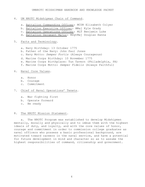# 4. UM NROTC Midshipman Chain of Command.

- a. Battalion Commanding Officer: MCDR Elizabeth Colyer
- b. Battalion Executive Officer: MMaj Kyle Grady
- c. Battalion Operations Officer: MLT Benjamin Luke
- d. Battalion Sergeant Major: MSgtMaj Douglas Hanna

# 5. Facts and Terminology.

- a. Navy Birthday: 13 October 1775
- b. Father of the Navy: John Paul Jones
- c. Navy Motto: *Semper Fortis* (Always Courageous)
- d. Marine Corps Birthday: 10 November 1775
- e. Marine Corps Birthplace: Tun Tavern (Philadelphia, PA)
- f. Marine Corps Motto: *Semper Fidelis* (Always Faithful)

# 6. Naval Core Values.

- a. Honor
- b. Courage
- c. Commitment
- 7. Chief of Naval Operations' Tenets.
	- a. War fighting first
	- b. Operate forward
	- c. Be ready

#### 8. The NROTC Mission Statement.

a. The NROTC Program was established to develop Midshipmen mentally, morally and physically and to imbue them with the highest ideals of duty, and loyalty, and with the core values of honor, courage and commitment in order to commission college graduates as naval officers who possess a basic professional background, are motivated toward careers in the naval service, and have a potential for future development in mind and character so as to assume the highest responsibilities of command, citizenship and government.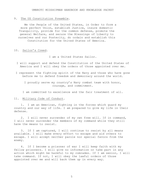# 9. The US Constitution Preamble.

We the People of the United States, in Order to form a more perfect Union, establish Justice, insure domestic Tranquility, provide for the common defense, promote the general Welfare, and secure the Blessings of Liberty to ourselves and our Posterity, do ordain and establish this Constitution for the United States of America.

# 10. Sailor's Creed.

I am a United States Sailor.

- I will support and defend the Constitution of the United States of America and I will obey the orders of those appointed over me.
- I represent the fighting spirit of the Navy and those who have gone before me to defend freedom and democracy around the world.
	- I proudly serve my country's Navy combat team with honor, courage, and commitment.

I am committed to excellence and the fair treatment of all.

## 11. Military Code of Conduct.

1. I am an American, fighting in the forces which guard my country and our way of life. I am prepared to give my life in their defense.

2. I will never surrender of my own free will. If in command, I will never surrender the members of my command while they still have the means to resist.

3. If I am captured, I will continue to resist by all means available. I will make every effort to escape and aid others to escape. I will accept neither parole nor special favors from the enemy.

4. If I become a prisoner of war I will keep faith with my fellow prisoners. I will give no information or take part in any action which might be harmful to my comrades. If I am senior, I will take command. If not, I will obey the lawful orders of those appointed over me and will back them up in every way.

5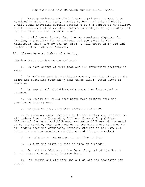5. When questioned, should I become a prisoner of war, I am required to give name, rank, service number, and date of birth. I will evade answering further questions to the utmost of my ability. I will make no oral or written statements disloyal to my country and its allies or harmful to their cause.

6. I will never forget that I am an American, fighting for freedom, responsible for my actions, and dedicated to the principles which made my country free. I will trust in my God and in the United States of America.

12. Eleven General Orders of a Sentry.

(Marine Corps version in parentheses)

1. To take charge of this post and all government property in view.

2. To walk my post in a military manner, keeping always on the alert and observing everything that takes place within sight or hearing.

3. To report all violations of orders I am instructed to enforce.

4. To repeat all calls from posts more distant from the guardhouse than my own.

5. To quit my post only when properly relieved.

6. To receive, obey, and pass on to the sentry who relieves me all orders from the Commanding Officer, Command Duty Officer, Officer of the Deck, and Officers, and Petty Officers of the Watch only. (To receive, obey and pass on to the sentry who relieves me all orders from the Commanding Officer, Officer of the Day, all Officers, and Non-Commissioned Officers of the guard only.)

7. To talk to no one except in the line of duty.

8. To give the alarm in case of fire or disorder.

9. To call the Officer of the Deck (Corporal of the Guard) in any case not covered by instructions.

10. To salute all officers and all colors and standards not cased.

6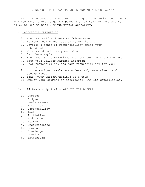11. To be especially watchful at night, and during the time for challenging, to challenge all persons on or near my post and to allow no one to pass without proper authority.

# 13. Leadership Principles.

- 1. Know yourself and seek self-improvement.
- 2. Be technically and tactically proficient.
- 3. Develop a sense of responsibility among your subordinates.
- 4. Make sound and timely decisions.
- 5. Set the example.
- 6. Know your Sailors/Marines and look out for their welfare
- 7. Keep your Sailors/Marines informed
- 8. Seek responsibility and take responsibility for your actions
- 9. Ensure assigned tasks are understood, supervised, and accomplished.
- 10. Train your Sailors/Marines as a team.
- 11. Employ your command in accordance with its capabilities.

# 14. 14 Leadership Traits (JJ DID TIE BUCKLE).

- a. Justice
- b. Judgment
- c. Decisiveness
- d. Integrity
- e. Dependability
- f. Tact
- g. Initiative
- h. Endurance
- i. Bearing
- j. Unselfishness
- k. Courage
- l. Knowledge
- m. Loyalty
- n. Enthusiasm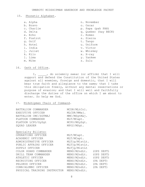# 15. Phonetic Alphabet.

- 
- b. Bravo de Contra Compositor de Contra Compositor de Contra Compositor de Contra Compositor de Contra Composi<br>Compositor de Compositor de Compositor de Compositor de Compositor de Compositor de Compositor de Compositor<br>Co
- 
- 
- 
- f. Foxtrot 5. Sierra<br>
g. Golf 5. Sierra<br>
t. Tango
- 
- 
- 
- i. India v. Victor<br>j. Juliet v. Whiskey
- 
- 
- m. Mike
- a. Alpha n. November<br>
b. Bravo de la partida de la partida de la partida de la partida de la partida de la partida de la partida de<br>
de la partida de la partida de la partida de la partida de la partida de la partida de la
	-
- c. Charlie end on the p. Papa (pah PAH)<br>d. Delta d. Ouebec (kav BE
- d. Delta  $q.$  Quebec (kay BECK)<br>e. Echo  $r.$  Romeo
- e. Echo and r. Romeo r. Romeo r. Romeo r. Romeo r. Romeo r. Romeo r. Romeo r. Romeo r. Romeo r. Romeo r. Romeo
	-
- g. Golf t. Tango<br>
h. Hotel t. Tango<br>
u. Unifor
- h. Hotel u. Uniform
	-
- j. Juliet  $\begin{array}{ccc}\n\text{y. W. W.} \\
\text{y. W. W.} \\
\text{y. X-ray}\n\end{array}$
- k. Kilo x. X-ray
	- y. Yankee<br>z. Zulu
	-

# 16. Oath of Office.

I, , do solemnly swear (or affirm) that I will support and defend the Constitution of the United States against all enemies, foreign and domestic, that I will bear true faith and allegiance to the same; that I take this obligation freely, without any mental reservations or purpose of evasion; and that I will well and faithfully discharge the duties of the office on which I am about to enter. So help me God.

# 17. Midshipmen Chain of Command.

| BATTALION COMMANDER<br>EXECUTIVE OFFICER<br>BATTALION CMC/SGTMAJ<br>PLATOON COMMANDER<br>PLATOON LCPO/GySqt<br>SQUAD LEADER | MCDR/MLtCol.<br>MLCDR/MMai.<br>MMC/MSqtMaj.<br>MLT/MCapt.<br>MCPO/MGySqt.<br>MPO2/MSqt. |            |
|-----------------------------------------------------------------------------------------------------------------------------|-----------------------------------------------------------------------------------------|------------|
| Specialty Billets:                                                                                                          |                                                                                         |            |
| OPERATIONS OFFICER                                                                                                          | MLT/MCapt.                                                                              |            |
| ACADEMIC OFFICER                                                                                                            | MLT/MCapt.                                                                              |            |
| ADMINISTRATIVE OFFICER                                                                                                      | MLTjg/MlstLt.                                                                           |            |
| PUBLIC AFFAIRS OFFICER                                                                                                      | MLTjg/MlstLt.                                                                           |            |
| SUPPLY OFFICER                                                                                                              | MLTjq/MlstLt                                                                            |            |
| COLOR GUARD COMMANDER                                                                                                       | MENS/M2ndLt. (OPS DEPT)                                                                 |            |
| DRILL TEAM COMMANDER                                                                                                        | MENS/M2ndLt.                                                                            | (OPS DEPT) |
| ATHLETIC OFFICER                                                                                                            | MENS/M2ndLt.                                                                            | (OPS DEPT) |
| RECRUITING OFFICER                                                                                                          | MENS/M2ndLt.                                                                            | (PA DEPT)  |
| PELORUS OFFICER                                                                                                             | MENS/M2ndLt. (PA DEPT)                                                                  |            |
| CONN/ALUMNI OFFICER                                                                                                         | MENS/M2ndLt. (PA DEPT)                                                                  |            |
| PHYSICAL TRAINING INSTRUCTOR MENS/M2ndLt.                                                                                   |                                                                                         |            |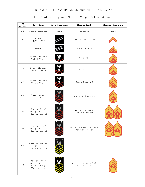# 18. United States Navy and Marine Corps Enlisted Ranks.

| Pay<br>Grade | Navy Rank                                                    | Navy Insignia | Marine Rank                               | Marine Insignia |
|--------------|--------------------------------------------------------------|---------------|-------------------------------------------|-----------------|
| $E-1$        | Seaman Recruit                                               | none          | Private                                   | none            |
| $E - 2$      | Seaman<br>Apprentice                                         |               | Private First Class                       |                 |
| $E-3$        | Seaman                                                       |               | Lance Corporal                            |                 |
| $E - 4$      | Petty Officer<br>Third Class                                 |               | Corporal                                  |                 |
| $E-5$        | Petty Officer<br>Second Class                                |               | Sergeant                                  |                 |
| $E-6$        | Petty Officer<br>First Class                                 |               | Staff Sergeant                            |                 |
| $E - 7$      | Chief Petty<br>Officer                                       |               | Gunnery Sergeant                          |                 |
| $E - 8$      | Senior Chief<br>Petty Officer<br>(Silver stars)              |               | Master Sergeant<br>First Sergeant         |                 |
| $E - 9$      | Master Chief<br>Petty Officer<br>(Silver stars)              |               | Master Gunnery Sergeant<br>Sergeant Major |                 |
| $E - 9$      | Command Master<br>Chief<br>(Silver stars)                    |               |                                           |                 |
| $E - 9$      | Master Chief<br>Petty Officer<br>of the Navy<br>(Gold stars) |               | Sergeant Major of the<br>Marine Corps     |                 |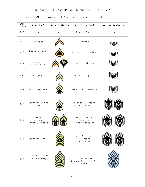# 19. United States Army and Air Force Enlisted Ranks.

| Pay<br>Grade | Army Rank                            | Navy Insignia | Air Force Rank                               | Marine Insignia |
|--------------|--------------------------------------|---------------|----------------------------------------------|-----------------|
| $E-1$        | Private                              | none          | Airman Basic                                 | none            |
| $E-2$        | Private                              |               | Airman                                       |                 |
| $E-3$        | Private First<br>Class               |               | Airman First Class                           |                 |
| $E - 4$      | Corporal<br>Specialist               |               | Senior Airman                                |                 |
| $E-5$        | Sergeant                             |               | Staff Sergeant                               |                 |
| $E-6$        | Staff Sergeant                       |               | Technical Sergeant                           |                 |
| $E - 7$      | Sergeant First<br>Class              |               | Master Sergeant<br>First Sergeant            |                 |
| $E - 8$      | Master<br>Sergeant<br>First Sergeant |               | Senior Master<br>Sergeant<br>First Sergeant  |                 |
| $E-9$        | Sergeant Major                       |               | Chief Master<br>Sergeant<br>First Sergeant   |                 |
| $E - 9$      | Sergeant Major<br>of the Army        |               | Chief Master<br>Sergeant of the Air<br>Force |                 |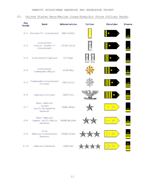# 20. United States Navy/Marine Corps/Army/Air Force Officer Ranks.

| Pay<br>Grade | Rank                                                 | Abbreviation | Collar | Shoulder | Sleeve            |
|--------------|------------------------------------------------------|--------------|--------|----------|-------------------|
| $O-1$        | Ensign/2 <sup>nd</sup> Lieutenant                    | ENS/2ndLt    |        |          |                   |
| $O - 2$      | Lieutenant<br>Junior Grade/1st<br>Lieutenant         | LTJG/1stLt   |        |          | ¥                 |
| $O - 3$      | Lieutenant/Captain                                   | LT/Capt      |        |          | ¥                 |
| $O - 4$      | Lieutenant<br>Commander/Major                        | LCDR/Maj     |        |          | $\frac{*}{\cdot}$ |
| $O - 5$      | Commander/Lieutenant<br>Colonel                      | CDR/LtCol    |        |          |                   |
| $O - 6$      | Captain/Colonel                                      | CAPT/Col     |        |          |                   |
| $O-7$        | Rear Admiral<br>(lower<br>half)/Brigadier<br>General | RDML/BGen    |        |          |                   |
| $O - 8$      | Rear Admiral<br>(upper half) / Major<br>General      | RADM/MajGen  |        |          |                   |
| $O - 9$      | Vice<br>Admiral/Lieutenant<br>General                | VADM/LtGen   |        |          |                   |
| $O - 10$     | Admiral/General                                      | ADM/Gen      |        |          |                   |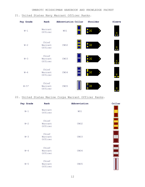# 21. United States Navy Warrant Officer Ranks.

| Pay Grade | Rank                        | Abbreviation Collar | Shoulder | Sleeve          |
|-----------|-----------------------------|---------------------|----------|-----------------|
| $W-1$     | Warrant<br>Officer          | WO1                 |          | $\infty$<br>. . |
| $W-2$     | Chief<br>Warrant<br>Officer | CWO <sub>2</sub>    |          | $\frac{8}{1}$   |
| $W-3$     | Chief<br>Warrant<br>Officer | CWO3                |          | 8               |
| $W-4$     | Chief<br>Warrant<br>Officer | CWO4                |          | ×               |
| $W-5*$    | Chief<br>Warrant<br>Officer | CWO <sub>5</sub>    |          | 8               |

# 22. United States Marine Corps Warrant Officer Ranks.

| Pay Grade | Rank                        | Abbreviation     | Collar |
|-----------|-----------------------------|------------------|--------|
| $W-1$     | Warrant<br>Officer          | WO1              |        |
| $W-2$     | Chief<br>Warrant<br>Officer | CWO <sub>2</sub> |        |
| $W-3$     | Chief<br>Warrant<br>Officer | CWO3             |        |
| $W - 4$   | Chief<br>Warrant<br>Officer | CWO4             |        |
| $W-5$     | Chief<br>Warrant<br>Officer | CWO <sub>5</sub> |        |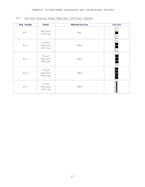# 23. United States Army Warrant Officer Ranks.

| Pay Grade | Rank                        | Abbreviation     | Collar |
|-----------|-----------------------------|------------------|--------|
| $W-1$     | Warrant<br>Officer          | WO1              |        |
| $W-2$     | Chief<br>Warrant<br>Officer | CWO <sub>2</sub> |        |
| $W-3$     | Chief<br>Warrant<br>Officer | CWO3             |        |
| $W-4$     | Chief<br>Warrant<br>Officer | CWO4             |        |
| $W-5$     | Chief<br>Warrant<br>Officer | CWO <sub>5</sub> |        |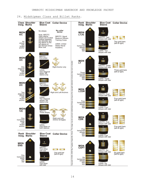# 24. Midshipman Class and Billet Ranks.

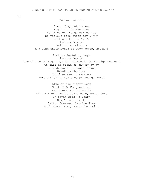25.

## Anchors Aweigh.

Stand Navy out to sea Fight our battle cry; We'll never change our course So vicious foes steer shy-y-y-y Roll out the T. N. T. Anchors Aweigh Sail on to victory And sink their bones to Davy Jones, hooray!

Anchors Aweigh my boys Anchors Aweigh Farewell to college joys (or "Farewell to foreign shores") We sail at break of day-ay-ay-ay Through our last night ashore Drink to the foam Until we meet once more Here's wishing you a happy voyage home!

> Blue of the Mighty Deep Gold of God's great sun Let these our colors be Till all of time be done, done, done, done On seven seas we learn Navy's stern call Faith, Courage, Service True With Honor Over, Honor Over All.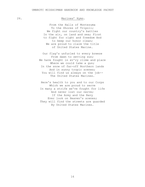# 26. Marines' Hymn.

From the Halls of Montezuma To the Shores of Tripoli; We fight our country's battles In the air, on land and sea; First to fight for right and freedom And to keep our honor clean; We are proud to claim the title of United States Marine.

Our flag's unfurled to every breeze From dawn to setting sun; We have fought in ev'ry clime and place Where we could take a gun; In the snow of far-off Northern lands And in sunny tropic scenes; You will find us always on the job-- The United States Marines.

Here's health to you and to our Corps Which we are proud to serve In many a strife we've fought for life And never lost our nerve; If the Army and the Navy Ever look on Heaven's scenes; They will find the streets are guarded By United States Marines.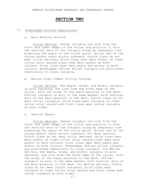# **SECTION TWO**

## 27. Midshipmen Uniform Regulations.

a. Navy Working Uniform

Collar devices. Center insignia one inch from the front and lower edges of the collar and position it with the vertical axis of the insignia along an imaginary line bisecting the angle of the collar point. Bitter end of the fouled anchor chain points outboard. Fourth class do not wear collar devices; third class wear Navy anchor on right collar only; second class wear Navy anchor on both collars; first class wear Navy eagle and anchor on both collars. Midshipman Officer billet insignia are positioned identically to class insignia.

b. Marine Corps Combat Utility Uniform

Collar devices. The Eagle, Globe, and Anchor insignia is worn centered, one inch from the front edge of the collar, with the wings of the eagle parallel to the deck. Officer insignia is worn in the same manner, with vertical axis of the bars parallel to the deck. Fourth class do not wear collar insignia; third class wear insignia on right collar only; second and first class wear collar insignia on both sides.

c. Service Khakis

Collar devices. Center insignia one inch from the front and lower edges of the collar and position it with the vertical axis of the insignia along an imaginary line bisecting the angle of the collar point. Bitter end of the fouled anchor chain points outboard. For Navy options, fourth class do not wear collar devices; third class wear Navy anchor on right collar only; second class wear Navy anchor on both collars; first class wear Navy eagle and anchor on both collars. Midshipman Officer billet insignia are positioned identically to class insignia. For Marine Options, the Eagle, Globe, and Anchor insignia is worn centered, one inch from the front edge of the collar, with the wings of the eagle parallel to the deck. Officer insignia is worn in the same manner, with vertical axis of the bars parallel to the deck. For Marine options, fourth class do not wear collar insignia; third class wear insignia on right collar only; second and first class wear collar insignia on both sides.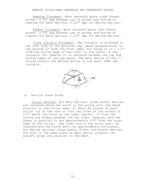Nametag Placement. Worn centered above right breast pocket. 0.25" gap between top of pocket and bottom of nametag for Navy Options, 0.125" gap for Marine Options.

Ribbon Placement. Worn centered above left breast pocket. 0.25" gap between top of pocket and bottom of ribbons for Navy Options, 0.125" gap for Marine Options.

Cover Insignia Placement. The insignia is attached to the left side of the garrison cap, shank perpendicular to the ground, 2" from the front edge. For males it is 1 1⁄2" from the bottom edge of the cover to the center of the insignia. For females it is centered between the top and bottom edges of the cap apron. The Navy device is the 1" fouled anchor; the Marine device is the small USMC cap insignia.



## d. Service Dress Blues

Collar devices. For Navy Options, large anchor devices are centered above the notch in the collar with the shank parallel to the collar seam. It shall be pinned on each collar tip of the coat so that the crown of the anchor is  $1/2$ " above the notch of the lapel (males), 1" from the bottom and midway between the two sides (female), and the shank is parallel to and approximately 3/4" from the outer edge of the collar. The lower end of the stock shall be outboard and the stock shall be approximately horizontal. For Marine Options, large Eagle, Globe, and Anchor devices are worn in the same place as Navy Option anchors; the eagle's wings are parallel to the deck.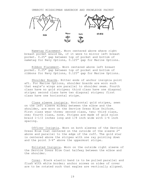

Nametag Placement. Worn centered above where right breast pocket would be, if it were to mirror left breast pocket. 0.25" gap between top of pocket and bottom of nametag for Navy Options, 0.125" gap for Marine Options.

Ribbon Placement. Worn centered above left breast pocket. 0.25" gap between top of pocket and bottom of ribbons for Navy Options, 0.125" gap for Marine Options.

Shoulder Boards. Bitter ends of anchor insignia point aft. For Marine Options, shoulder boards are worn such that eagle's wings are parallel to shoulder seam. Fourth class have no gold stripes; third class have one diagonal stripe; second class have two diagonal stripes; first class have one horizontal stripe.

Class sleeve insignia. Horizontal gold stripes, sewn on the left sleeve midway between the elbow and the shoulder, are worn on the Service Dress Blue Uniform. First class wear three; second class, two; third class, one; fourth class, none. Stripes are made of gold nylon braid 1-1/2 inches long and 1/8 inch wide with 1⁄4 inch spacing.

Officer Insignia. Worn on both sleeves of the Service Dress Blue Coat centered on the outside of the sleeve 2" above and parallel to the edge of the cuff. The gold star is centered above the stripes with one ray pointing down and the point 3⁄4" above the uppermost stripe.

Enlisted Insignia. Worn on the outside right sleeve of the Service Dress Blue Coat halfway between the elbow and the shoulder.

Cover. Black elastic band is to be pulled parallel and flush with white border; anchor screws on sides of cover are to be rotated such that eagles are vertically aligned.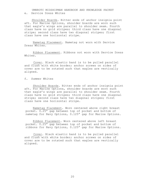UMNROTC MIDSHIPMAN HANDBOOK AND KNOWLEDGE PACKET e. Service Dress Whites

Shoulder Boards. Bitter ends of anchor insignia point aft. For Marine Options, shoulder boards are worn such that eagle's wings are parallel to shoulder seam. Fourth class have no gold stripes; third class have one diagonal stripe; second class have two diagonal stripes; first class have one horizontal stripe.

Nametag Placement. Nametag not worn with Service Dress Whites.

Ribbon Placement. Ribbons not worn with Service Dress Whites.

Cover. Black elastic band is to be pulled parallel and flush with white border; anchor screws on sides of cover are to be rotated such that eagles are vertically aligned.

f. Summer Whites

Shoulder Boards. Bitter ends of anchor insignia point aft. For Marine Options, shoulder boards are worn such that eagle's wings are parallel to shoulder seam. Fourth class have no gold stripes; third class have one diagonal stripe; second class have two diagonal stripes; first class have one horizontal stripe.

Nametag Placement. Worn centered above right breast pocket. 0.25" gap between top of pocket and bottom of nametag for Navy Options, 0.125" gap for Marine Options.

Ribbon Placement. Worn centered above left breast pocket. 0.25" gap between top of pocket and bottom of ribbons for Navy Options, 0.125" gap for Marine Options.

Cover. Black elastic band is to be pulled parallel and flush with white border; anchor screws on sides of cover are to be rotated such that eagles are vertically aligned.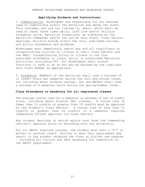# **Amplifying Guidance and Instructions:**

1. Communication. Midshipmen are responsible for ALL methods used to communicate within the Battalion and among the staff. This includes, but are not limited to, email, which shall be read at least three times daily, land line and/or cellular telephone calls, Battalion formations, as scheduled by the Battalion Commander and/or the active duty staff, Class Advisor meetings, bulletin boards within the unit, published notices, and policy statements and guidance.

Midshipmen must immediately report any and all significant or incapacitating injuries or illness to their Class Advisor and the AMOI. Incapacitating injury or illness is one that precludes attendance at class, drill, or prescribed Battalion activities (including PT). All Midshipmen shall attend functions if safe to do so but may be excused by the cognizant Unit staff member as appropriate.

2. Academics. Members of the Battalion shall take a minimum of 12 credit hours per semester during the fall and winter terms, not including Naval Science courses. OCs and MECEPs shall take a minimum of 6 semester hours during the Spring/Summer terms.

# **Class Attendance is mandatory for all registered classes.**

The average course load for a semester is between 15 and 18 credit hours, including Naval Science (NS) classes. A course load of fewer than 15 credits or greater than 18 credits must be approved by the student's Class Advisor. A course load of less than 12 credits or greater than 20 credits in a semester requires Commanding Officer approval via Class Advisor.

Any student desiring to switch majors must have the Commanding Officer's approval prior to switching with the University.

For all NROTC required courses, the student must earn a "C-" or better to receive credit. Failure to meet this requirement may result in the student retaking the class at his/her own expense – including all tuition and fees necessary for completion of the NROTC requirement.

21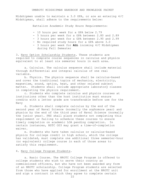Midshipmen unable to maintain a 3.0 GPA, or are an entering 4/C Midshipman, shall adhere to the requirements below:

Battalion Academic Study Hours Requirements:

- 10 hours per week for a GPA below 2.79

- 5 hours per week for a GPA between 2.80 and 2.89
- 3 hours per week for a GPA between 2.90 and 2.99
- No required study hours for a GPA above 3.0
- 3 hours per week for **ALL** incoming 4/C Midshipmen during Fall Semester

3. Navy Option Scholarship Students. These students are required to complete course sequences in calculus and physics equivalent to at least six semester hours in each area.

a. Calculus. The calculus sequence shall include material through differential and integral calculus of one real variable.

b. Physics. The physics sequence shall be calculus-based and cover the traditional topics of mechanics, electricity, magnetism, sound, optics, heat, and other related subject matter. Students shall include appropriate laboratory classes in completing the physics requirement.

c. Students who complete calculus and physics courses at institutions other than the host institution must ensure credits with a letter grade are transferable before use for the Navy

d. Students shall complete calculus by the end of the second year of Naval Science (normally the sophomore year) and physics by the end of the third year of Naval Science (normally the junior year). PNS shall place students not completing this requirement or failing to schedule these courses to ensure<br>timely completion on academic LOA pending completion. In timely completion on academic LOA pending completion. certain instances, NSTC OD3 may grant a time-of-completion waiver.

e. Students who have taken calculus or calculus-based physics for college credit in high school, which the college has validated, must complete one additional three semester-hour (or equivalent) college course in each of those areas to satisfy this requirement.

# 4. Navy College Program Students.

a. Basic Course. The NROTC College Program is offered to college students who wish to serve their country as commissioned officers, but who have not been awarded any form of an NROTC scholarship. College Program students are selected from those who have applied for enrollment at the NROTC unit and sign a contract in which they agree to complete certain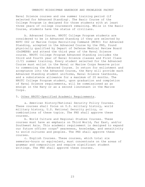Naval Science courses and one summer training period (if selected for Advanced Standing). The Basic Course of the College Program is designed for those students with at least three years of college coursework remaining. While in the Basic Course, students have the status of civilians.

b. Advanced Course. NROTC College Program students are considered to be in Advanced Standing if they are selected by NSTC OD2 or Marine Corps Recruiting Command (MCRC) for Advanced Standing, accepted in the Advanced Course by the PNS, found physically qualified by Depart of Defense Medical Review Board (DoDMERB) and attend the third year of the Naval Science course. NROTC College Program Advanced Standing includes the third and fourth year of Naval Science classes and First Class (1/C) summer training. Every student selected for the Advanced Course must enlist in the Naval or Marine Corps Reserve prior to commencing the Advanced Course. In return for enlistment and acceptance into the Advanced Course, the Navy will provide each Advanced Standing student uniforms, Naval Science textbooks, and a subsistence allowance for a maximum of 20 months. The NROTC College Program student, upon graduation and completion of Naval Science requirements, will be commissioned as an ensign in the Navy or as a second lieutenant in the Marine Corps.

# 5. Other NROTC-Specified Academic Requirements.

a. American History/National Security Policy Courses. These courses shall focus on U.S. military history, world military history, U.S. National Security policy, or combinations of these topics. The PNS shall approve these courses.

b. World Culture and Regional Studies Courses. These courses must have an emphasis on Third World, Far East, and/or Southwest Asia. This academic requirement is designed to expand our future officer corps" awareness, knowledge, and sensitivity to world cultures and peoples. The PNS shall approve these courses.

c. English Courses. These courses, which total six semester-hours or equivalent, must concentrate on the areas of grammar and composition and require significant student writings. The PNS shall approve these courses.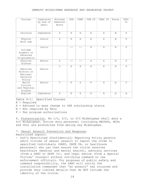| Courses                                                  | Completed<br>by end of<br>year: | Minimum<br>Semester<br>Hours | <b>USN</b>   | <b>USMC</b>  | USN CP       | USMC CP      | Nurse        | $STA-$<br>21 |
|----------------------------------------------------------|---------------------------------|------------------------------|--------------|--------------|--------------|--------------|--------------|--------------|
| Calculus                                                 | Sophomore                       | 6                            | $\mathbb{R}$ | Α            | Α            | Α            | $\mathbf N$  | .P           |
| Physics<br>With Lab                                      | Junior                          | 6                            | $\mathbb{R}$ | Α            | $\mathbb{A}$ | Α            | $\mathbf{N}$ | $\mathbf{P}$ |
| College<br>Algebra or<br>Advanced<br>Trigonometry        | Junior                          |                              | $ -$         |              | $\mathbb{R}$ | Α            | N            | $\mathbf{P}$ |
| Physical<br>Science                                      | Senior                          | 6                            | $ -$         |              | $\mathbb{R}$ | Α            | N            | $\mathsf{P}$ |
| American<br>History or<br>National<br>Security<br>Policy | Senior                          | 3                            | $\mathbb{R}$ | $\mathbb{R}$ | $\mathbb{R}$ | $\mathbb{R}$ | N            | $\mathbf{P}$ |
| World<br>Culture<br>and Regional<br>Studies              | Senior                          | $\overline{3}$               | $\mathbb{R}$ | Α            | $\mathbb{R}$ | Α            | $\mathbb{R}$ | $\mathsf{P}$ |
| English                                                  | Sophomore                       | 6                            | $\mathbb{R}$ | $\mathbb{R}$ | $\mathbb R$  | $\mathbb R$  | $\mathbb{R}$ | $\mathbb{R}$ |

Table 4-1: Specified Courses

 $R = Required$ 

A = Advised to ease change to USN scholarship status

 $N = Not required by Navy$ 

P = Per program authorizations

6. Fraternization. No 1/C, 2/C, or 3/C Midshipman shall date a 4/C Midshipman. Active duty personnel (including MECEPS, MCPs and OCs) are prohibited from dating any Midshipman.

# 7. Sexual Assault Prevention and Response.

Restricted report:

- DoD's Restricted (Confidential) Reporting Policy permits adult victims of sexual assault to report the crime to specified individuals (SARC, SAPR VA, or healthcare personnel) who can then ensure the victim receives healthcare (medical and mental health), advocacy services (from a SARC or SAPR VA), and legal advice (from a Special Victims' Counsel) without notifying command or law enforcement officials. For purposes of public safety and command responsibility, the SARC will notify the installation commander that "an assault" has occurred and provide very limited details that do NOT include the identity of the victim.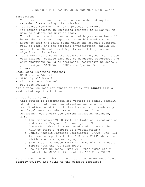Limitations

- Your assailant cannot be held accountable and may be capable of assaulting other victims.
- You cannot receive a military protective order.
- You cannot request an Expedited Transfer to allow you to move to a different unit or base.
- You will continue to have contact with your assailant, if he or she is in your organization or billeted with you.
- Evidence from the crime scene where the assault occurred will be lost, and the official investigation, should you switch to an Unrestricted Report, will likely encounter significant obstacles.
- You should not discuss the assault with anyone, to include your friends, because they may be mandatory reporters. The only exceptions would be chaplains, healthcare personnel, your assigned SAPR VA or SARC, and Special Victims' Counsel.

Restricted reporting options:

- SAPR Victim Advocate
- SARC: Lynell Boveri
- Victim's Legal Counsel
- DoD Safe Helpline

\*If a resource does not appear on this, you **cannot** make a restricted report with them

Unrestricted report:

- This option is recommended for victims of sexual assault who desire an official investigation and command notification in addition to healthcare, victim advocacy and legal services. When selecting Unrestricted Reporting, you should use current reporting channels, e.g.:
	- o Law Enforcement/MCIO (will initiate an investigation and start a "report of investigation")
	- o Commander (who will then immediately contact the MCIO to start a "report of investigation")
	- o Sexual Assault Response Coordinator (SARC) (who will fill out a report with the "DD Form 2910" where the victim elects a reporting option)
	- o SAPR Victim Advocate (SAPR VA) (who will fill out a report with the "DD Form 2910")
	- o Health care personnel (who will then immediately contact the SARC to fill out the "DD Form 2910")

At any time, MIDN Allies are available to answer questions, clarify policy, and point to the correct resources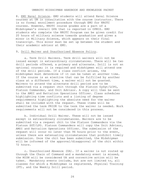8. EMU Naval Science. EMU students will attend Naval Science courses at UM in consultation with the course instructor. There is no formal enrollment procedure through EMU for NROTC courses. However, NROTC course grades are a part of a Midshipman's overall GPA that is reported in OPMIS. EMU students who complete the NROTC Program can be given credit for 20 hours of military science towards graduation and given a minor in Military Science, which appears on their final transcript. This minor must be set up between the student and their academic advisor at EMU.

# 9. Drill Waiver and Unauthorized Absence Policy.

a. Term Drill Waivers. Term drill waivers will not be issued except in extraordinary circumstances. There will be two drill periods offered, a primary and alternate. Drill is not an optional course; it is required and midshipmen will attend one of the drill periods. If a class conflict arises, the midshipman must determine if it can be taken at another time. If the course is an elective that can be fulfilled by another class at a different time, a waiver will not be granted. Waivers to attend the alternate drill period are to be submitted via a request chit through the Platoon GySgt/LCPO, Platoon Commander, and Unit Advisor. A copy will then be sent to the AMOI and Battalion Operations Officer. Class schedules highlighting time conflicts and a listing of degree requirements highlighting the absolute need for the waiver shall be included with the request. These items will be submitted the term PRIOR to the term the waiver is needed. Work requirements will not be considered in this process.

b. Individual Drill Waiver. These will not be issued except in extraordinary circumstances. Waivers are to be submitted via a request chit to the Platoon Commanders via the Platoon SGT/LPO. Platoon Commanders will copy the Unit Advisor, AMOI and Battalion Operations Officer. The submission of the request will occur no later than 96 hours prior to the event, unless there are extenuating circumstances that prohibit timely submission. Once the chit has been submitted, the Midshipman will be informed of the approval/disapproval of the chit within 72 hours.

c. Unauthorized Absence (UA). If a waiver is not routed up through the Chain of Command and a mandatory event is missed, the MIDN will be considered UA and corrective action will be taken. Mandatory events include, but are not limited to, all classes for which a Midshipman is registered, Physical Training (PT), and the Weekly Drill period.

26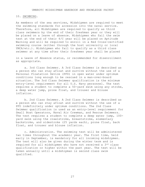#### 10. SWIMMING.

As members of the sea services, Midshipmen are required to meet the swimming standards for accession into the naval service. Therefore, all Midshipmen are required to qualify as third class swimmers by the end of their freshman year or they will be placed on a leave of absence. Midshipmen who fail the swim test at the end of their 4/C year will be placed on Aptitude Warning and will be required to enroll in a Red Cross-certified swimming course (either through the host university or local YMCA/etc.). Midshipmen who fail to qualify as a third class swimmer at any time after their freshmen year shall be placed

in a Leave of Absence status, or recommended for disenrollment as appropriate.

a. 3rd Class Swimmer. A 3rd Class Swimmer is described as a person who can stay afloat and survive without the use of a Personal Floatation Device (PFD) in open water under optimum conditions long enough to be rescued in a man-over-board situation. The 3rd Class Swimmer qualification is the minimum entry-level requirement for all U.S. Navy personnel. The test requires a student to complete a 50-yard swim using any stroke, a deep water jump, prone float, and trouser and blouse inflation.

b. 2nd Class Swimmer. A 2nd Class Swimmer is described as a person who can stay afloat and survive without the use of a PFD indefinitely under optimum conditions. The 2nd Class Swimmer qualification is used as an entry-level requirement for Small Boat Operators, Naval Air Crewman, and Rescue Swimmers. The test requires a student to complete a deep water jump, 100 yard swim using the crawlstroke, breaststroke, elementary backstroke, and sidestroke (25 yards each), prone float, back float, and trouser and blouse inflation.

c. Administration. The swimming test will be administered two times throughout the academic year. The first time, held early in September, is mandatory for all incoming midshipmen. The test will also be given during the winter term and is required for all midshipmen who have not received a 3rd class qualification or higher within the past year. The test will be taken annually until a midshipman is second class swim qualified.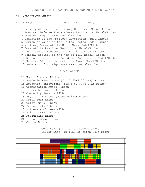# 11. MIDSHIPMEN AWARDS

## PRECEDENCE NATIONAL AWARDS DEVICE

1 Society of American Military Engineers Medal/Ribbon 2 American Defense Preparedness Association Medal/Ribbon 3 American Legion Award Medal/Ribbon 4 Daughters of the American Revolution Medal/Ribbon 5 Legion of Valor of the United States Medal/Ribbon 6 Military Order of the World Wars Medal/Ribbon 7 Sons of the American Revolution Medal/Ribbon 8 Daughters of Founders and Patriots Medal/Ribbon 9 General Society of the War of 1812 Medal/Ribbon 10 National Sojourners Award for Americanism Medal/Ribbon 11 Reserve Officers Association Award Medal/Ribbon 12 Veterans of Foreign Wars Award Medal/Ribbon

#### NROTC AWARDS

- 13 Honor Platoon Ribbon 14 Academic Excellence (for 3.75-4.00 GPA) Ribbon 15 Academic Achievement (for 3.50-3.74 GPA) Ribbon 16 Commendation Award Ribbon 17 Leadership Award Ribbon 18 Community Service Ribbon 19 Physical Fitness (Outstanding) Ribbon 20 Drill Team Ribbon 21 Color Guard Ribbon 22 Intramurals Ribbon 23 Rifle/Pistol Team Ribbon 24 Sailing Award Ribbon 25 Recruiting Ribbon
- 26 Platoon Comp Ribbon
- 27 Cruise Ribbon

Gold Star (in lieu of second award) Silver Star (in lieu of fifth Gold Star)